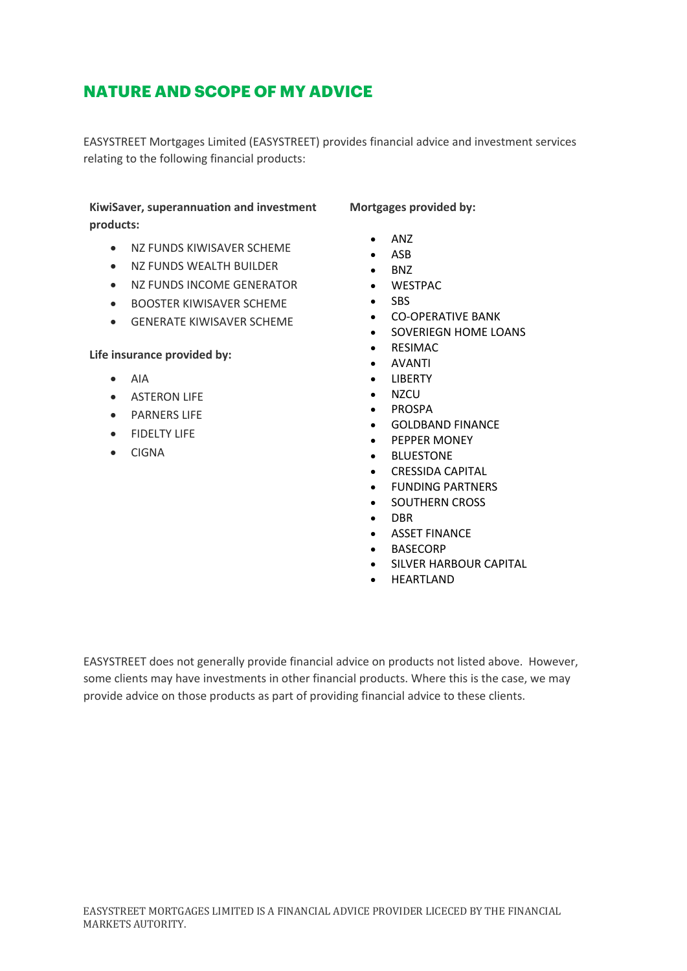# **NATURE AND SCOPE OF MY ADVICE**

EASYSTREET Mortgages Limited (EASYSTREET) provides financial advice and investment services relating to the following financial products:

## **KiwiSaver, superannuation and investment products:**

- NZ FUNDS KIWISAVER SCHEME
- NZ FUNDS WEALTH BUILDER
- NZ FUNDS INCOME GENERATOR
- BOOSTER KIWISAVER SCHEME
- GENERATE KIWISAVER SCHEME

#### **Life insurance provided by:**

- AIA
- ASTERON LIFE
- PARNERS LIFE
- FIDELTY LIFE
- CIGNA

**Mortgages provided by:**

- ANZ
- ASB
- BNZ
- WESTPAC
- SBS
- CO-OPERATIVE BANK
- SOVERIEGN HOME LOANS
- RESIMAC
- AVANTI
- LIBERTY
- NZCU
- PROSPA
- GOLDBAND FINANCE
- PEPPER MONEY
- **BLUESTONE**
- CRESSIDA CAPITAL
- FUNDING PARTNERS
- SOUTHERN CROSS
- DBR
- ASSET FINANCE
- **BASECORP**
- SILVER HARBOUR CAPITAL
- **HEARTLAND**

EASYSTREET does not generally provide financial advice on products not listed above. However, some clients may have investments in other financial products. Where this is the case, we may provide advice on those products as part of providing financial advice to these clients.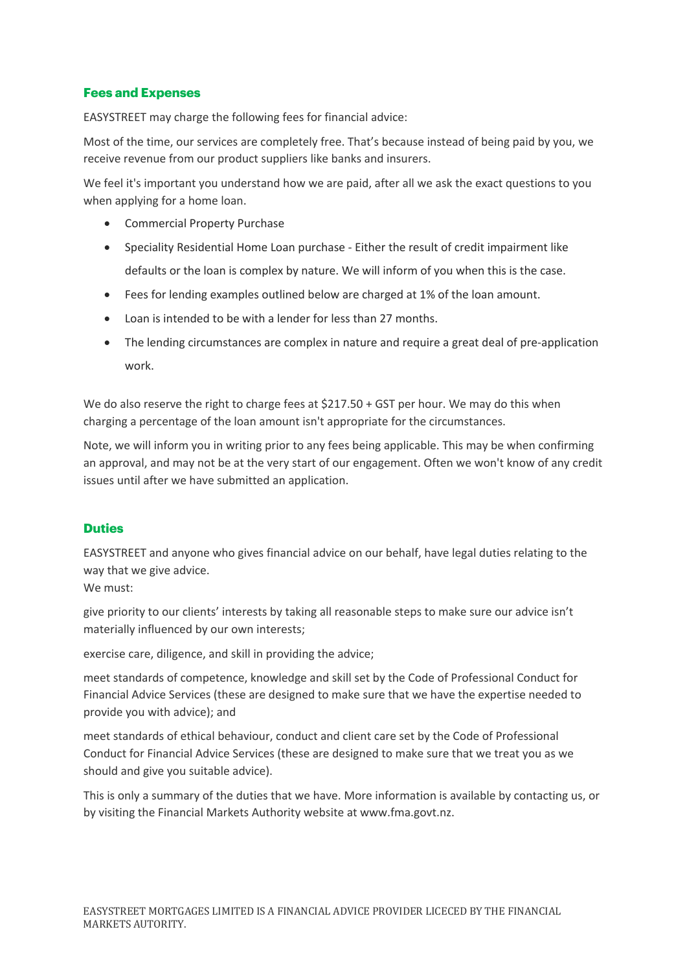## **Fees and Expenses**

EASYSTREET may charge the following fees for financial advice:

Most of the time, our services are completely free. That's because instead of being paid by you, we receive revenue from our product suppliers like banks and insurers.

We feel it's important you understand how we are paid, after all we ask the exact questions to you when applying for a home loan.

- Commercial Property Purchase
- Speciality Residential Home Loan purchase Either the result of credit impairment like defaults or the loan is complex by nature. We will inform of you when this is the case.
- Fees for lending examples outlined below are charged at 1% of the loan amount.
- Loan is intended to be with a lender for less than 27 months.
- The lending circumstances are complex in nature and require a great deal of pre-application work.

We do also reserve the right to charge fees at \$217.50 + GST per hour. We may do this when charging a percentage of the loan amount isn't appropriate for the circumstances.

Note, we will inform you in writing prior to any fees being applicable. This may be when confirming an approval, and may not be at the very start of our engagement. Often we won't know of any credit issues until after we have submitted an application.

#### **Duties**

EASYSTREET and anyone who gives financial advice on our behalf, have legal duties relating to the way that we give advice.

We must:

give priority to our clients' interests by taking all reasonable steps to make sure our advice isn't materially influenced by our own interests;

exercise care, diligence, and skill in providing the advice;

meet standards of competence, knowledge and skill set by the Code of Professional Conduct for Financial Advice Services (these are designed to make sure that we have the expertise needed to provide you with advice); and

meet standards of ethical behaviour, conduct and client care set by the Code of Professional Conduct for Financial Advice Services (these are designed to make sure that we treat you as we should and give you suitable advice).

This is only a summary of the duties that we have. More information is available by contacting us, or by visiting the Financial Markets Authority website at www.fma.govt.nz.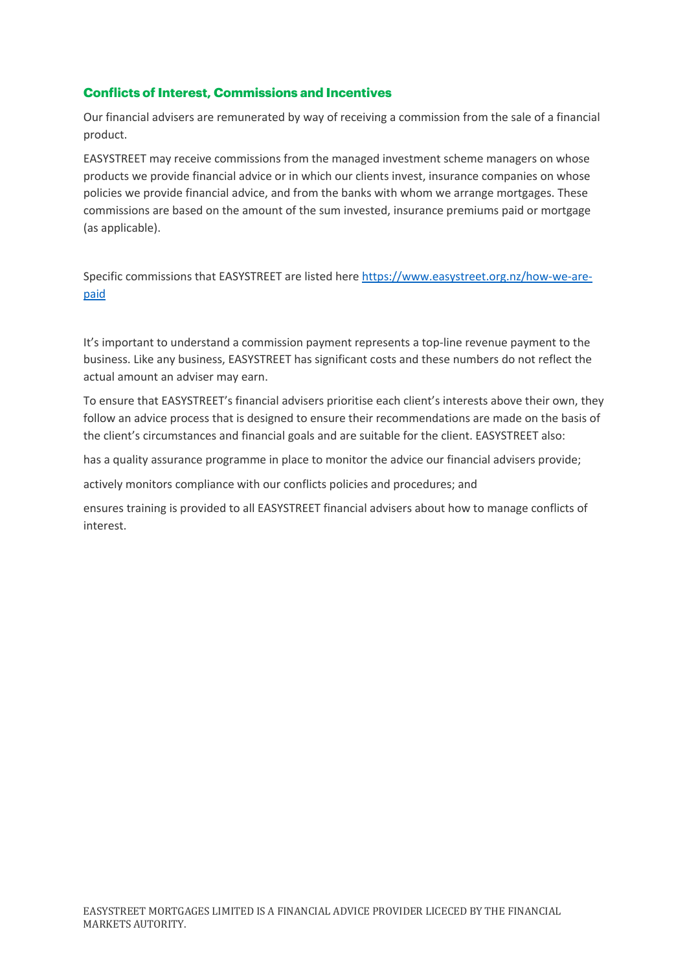## **Conflicts of Interest, Commissions and Incentives**

Our financial advisers are remunerated by way of receiving a commission from the sale of a financial product.

EASYSTREET may receive commissions from the managed investment scheme managers on whose products we provide financial advice or in which our clients invest, insurance companies on whose policies we provide financial advice, and from the banks with whom we arrange mortgages. These commissions are based on the amount of the sum invested, insurance premiums paid or mortgage (as applicable).

Specific commissions that EASYSTREET are listed here https://www.easystreet.org.nz/how-we-arepaid

It's important to understand a commission payment represents a top-line revenue payment to the business. Like any business, EASYSTREET has significant costs and these numbers do not reflect the actual amount an adviser may earn.

To ensure that EASYSTREET's financial advisers prioritise each client's interests above their own, they follow an advice process that is designed to ensure their recommendations are made on the basis of the client's circumstances and financial goals and are suitable for the client. EASYSTREET also:

has a quality assurance programme in place to monitor the advice our financial advisers provide;

actively monitors compliance with our conflicts policies and procedures; and

ensures training is provided to all EASYSTREET financial advisers about how to manage conflicts of interest.